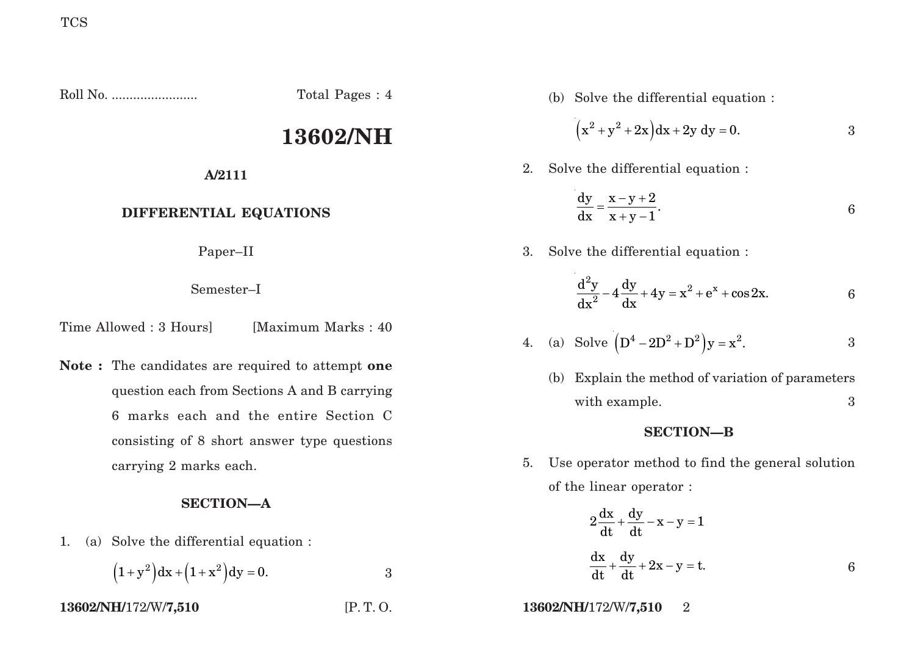Roll No. ........................ Total Pages : 4

# **13602/NH**

**A/2111**

## **DIFFERENTIAL EQUATIONS**

Paper–II

Semester–I

Time Allowed : 3 Hours [Maximum Marks : 40]

**Note :** The candidates are required to attempt **one** question each from Sections A and B carrying 6 marks each and the entire Section C consisting of 8 short answer type questions carrying 2 marks each.

### **SECTION—A**

1. (a) Solve the differential equation :

$$
(1+y^2)dx + (1+x^2)dy = 0.
$$
 3

(b) Solve the differential equation :

$$
(x^2 + y^2 + 2x)dx + 2y dy = 0.
$$
 3

2. Solve the differential equation :

$$
\frac{dy}{dx} = \frac{x-y+2}{x+y-1}.
$$

3. Solve the differential equation :

$$
\frac{d^2y}{dx^2} - 4\frac{dy}{dx} + 4y = x^2 + e^x + \cos 2x.
$$
 6

4. (a) Solve 
$$
(D^4 - 2D^2 + D^2)y = x^2
$$
.

(b) Explain the method of variation of parameters with example. 3

#### **SECTION—B**

5. Use operator method to find the general solution of the linear operator :

$$
2\frac{dx}{dt} + \frac{dy}{dt} - x - y = 1
$$
  

$$
\frac{dx}{dt} + \frac{dy}{dt} + 2x - y = t.
$$

**13602/NH/**172/W/**7,510** [P. T. O. **13602/NH/**172/W/**7,510** 2